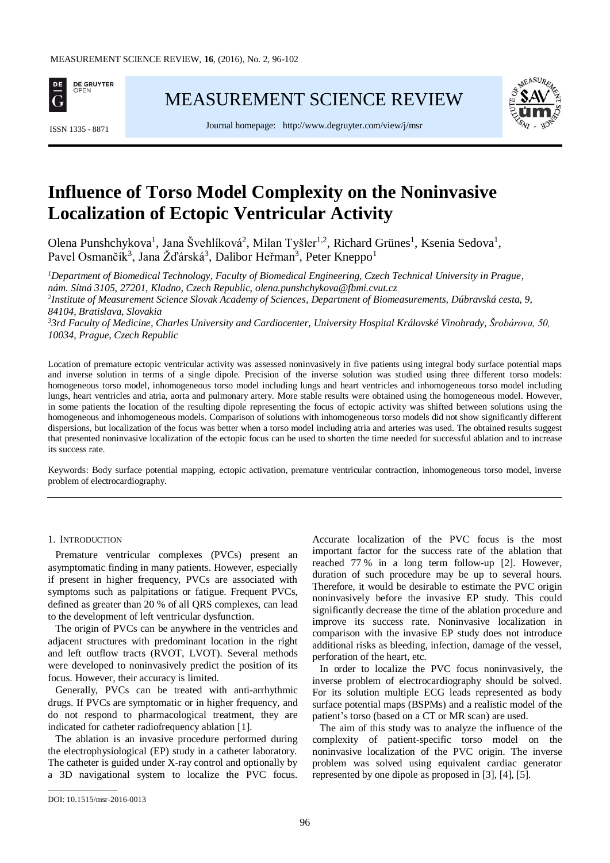

[MEASUREMENT SCIENCE REVIEW](http://www.measurement.sk/)



Journal homepage: <http://www.degruyter.com/view/j/msr> ISSN 1335 - <sup>8871</sup>

# **Influence of Torso Model Complexity on the Noninvasive Localization of Ectopic Ventricular Activity**

Olena Punshchykova<sup>1</sup>, Jana Švehlíková<sup>2</sup>, Milan Tyšler<sup>1,2</sup>, Richard Grünes<sup>1</sup>, Ksenia Sedova<sup>1</sup>, Pavel Osmančík<sup>3</sup>, Jana Žďárská<sup>3</sup>, Dalibor Heřman<sup>3</sup>, Peter Kneppo<sup>1</sup>

*<sup>1</sup>Department of Biomedical Technology, Faculty of Biomedical Engineering, Czech Technical University in Prague, nám. Sítná 3105, 27201, Kladno, Czech Republic, [olena.punshchykova@fbmi.cvut.cz](mailto:olena.punshchykova@fbmi.cvut.cz) 2 Institute of Measurement Science Slovak Academy of Sciences, Department of Biomeasurements, Dúbravská cesta, 9, 84104, Bratislava, Slovakia <sup>3</sup>3rd Faculty of Medicine, Charles University and Cardiocenter, University Hospital Královské Vinohrady, Šrobárova, 50, 10034, Prague, Czech Republic*

Location of premature ectopic ventricular activity was assessed noninvasively in five patients using integral body surface potential maps and inverse solution in terms of a single dipole. Precision of the inverse solution was studied using three different torso models: homogeneous torso model, inhomogeneous torso model including lungs and heart ventricles and inhomogeneous torso model including lungs, heart ventricles and atria, aorta and pulmonary artery. More stable results were obtained using the homogeneous model. However, in some patients the location of the resulting dipole representing the focus of ectopic activity was shifted between solutions using the homogeneous and inhomogeneous models. Comparison of solutions with inhomogeneous torso models did not show significantly different dispersions, but localization of the focus was better when a torso model including atria and arteries was used. The obtained results suggest that presented noninvasive localization of the ectopic focus can be used to shorten the time needed for successful ablation and to increase its success rate.

Keywords: Body surface potential mapping, ectopic activation, premature ventricular contraction, inhomogeneous torso model, inverse problem of electrocardiography.

## 1. INTRODUCTION

Premature ventricular complexes (PVCs) present an asymptomatic finding in many patients. However, especially if present in higher frequency, PVCs are associated with symptoms such as palpitations or fatigue. Frequent PVCs, defined as greater than 20 % of all QRS complexes, can lead to the development of left ventricular dysfunction.

The origin of PVCs can be anywhere in the ventricles and adjacent structures with predominant location in the right and left outflow tracts (RVOT, LVOT). Several methods were developed to noninvasively predict the position of its focus. However, their accuracy is limited.

Generally, PVCs can be treated with anti-arrhythmic drugs. If PVCs are symptomatic or in higher frequency, and do not respond to pharmacological treatment, they are indicated for catheter radiofrequency ablation [1].

The ablation is an invasive procedure performed during the electrophysiological (EP) study in a catheter laboratory. The catheter is guided under X-ray control and optionally by a 3D navigational system to localize the PVC focus. Accurate localization of the PVC focus is the most important factor for the success rate of the ablation that reached 77 % in a long term follow-up [2]. However, duration of such procedure may be up to several hours. Therefore, it would be desirable to estimate the PVC origin noninvasively before the invasive EP study. This could significantly decrease the time of the ablation procedure and improve its success rate. Noninvasive localization in comparison with the invasive EP study does not introduce additional risks as bleeding, infection, damage of the vessel, perforation of the heart, etc.

In order to localize the PVC focus noninvasively, the inverse problem of electrocardiography should be solved. For its solution multiple ECG leads represented as body surface potential maps (BSPMs) and a realistic model of the patient's torso (based on a CT or MR scan) are used.

The aim of this study was to analyze the influence of the complexity of patient-specific torso model on the noninvasive localization of the PVC origin. The inverse problem was solved using equivalent cardiac generator represented by one dipole as proposed in [3], [4], [5].

\_\_\_\_\_\_\_\_\_\_\_\_\_\_\_\_\_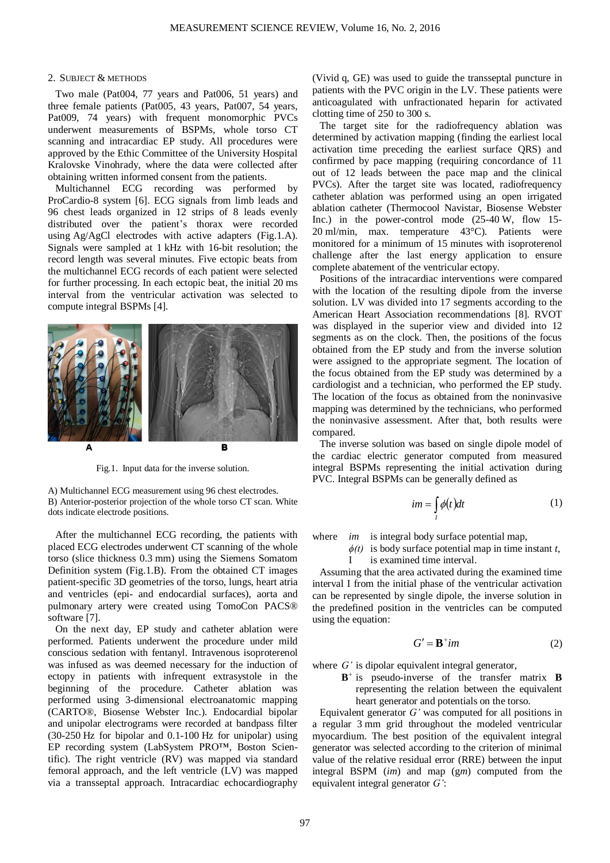### 2. SUBJECT & METHODS

Two male (Pat004, 77 years and Pat006, 51 years) and three female patients (Pat005, 43 years, Pat007, 54 years, Pat009, 74 years) with frequent monomorphic PVCs underwent measurements of BSPMs, whole torso CT scanning and intracardiac EP study. All procedures were approved by the Ethic Committee of the University Hospital Kralovske Vinohrady, where the data were collected after obtaining written informed consent from the patients.

Multichannel ECG recording was performed by ProCardio-8 system [6]. ECG signals from limb leads and 96 chest leads organized in 12 strips of 8 leads evenly distributed over the patient's thorax were recorded using Ag/AgCl electrodes with active adapters (Fig.1.A). Signals were sampled at 1 kHz with 16-bit resolution; the record length was several minutes. Five ectopic beats from the multichannel ECG records of each patient were selected for further processing. In each ectopic beat, the initial 20 ms interval from the ventricular activation was selected to compute integral BSPMs [4].



Fig.1. Input data for the inverse solution.

A) Multichannel ECG measurement using 96 chest electrodes. B) Anterior-posterior projection of the whole torso CT scan. White dots indicate electrode positions.

After the multichannel ECG recording, the patients with placed ECG electrodes underwent CT scanning of the whole torso (slice thickness 0.3 mm) using the Siemens Somatom Definition system (Fig.1.B). From the obtained CT images patient-specific 3D geometries of the torso, lungs, heart atria and ventricles (epi- and endocardial surfaces), aorta and pulmonary artery were created using TomoCon PACS® software [7].

On the next day, EP study and catheter ablation were performed. Patients underwent the procedure under mild conscious sedation with fentanyl. Intravenous isoproterenol was infused as was deemed necessary for the induction of ectopy in patients with infrequent extrasystole in the beginning of the procedure. Catheter ablation was performed using 3-dimensional electroanatomic mapping (CARTO®, Biosense Webster Inc.). Endocardial bipolar and unipolar electrograms were recorded at bandpass filter (30-250 Hz for bipolar and 0.1-100 Hz for unipolar) using EP recording system (LabSystem PRO™, Boston Scientific). The right ventricle (RV) was mapped via standard femoral approach, and the left ventricle (LV) was mapped via a transseptal approach. Intracardiac echocardiography

(Vivid q, GE) was used to guide the transseptal puncture in patients with the PVC origin in the LV. These patients were anticoagulated with unfractionated heparin for activated clotting time of 250 to 300 s.

The target site for the radiofrequency ablation was determined by activation mapping (finding the earliest local activation time preceding the earliest surface QRS) and confirmed by pace mapping (requiring concordance of 11 out of 12 leads between the pace map and the clinical PVCs). After the target site was located, radiofrequency catheter ablation was performed using an open irrigated ablation catheter (Thermocool Navistar, Biosense Webster Inc.) in the power-control mode (25-40 W, flow 15- 20 ml/min, max. temperature 43°C). Patients were monitored for a minimum of 15 minutes with isoproterenol challenge after the last energy application to ensure complete abatement of the ventricular ectopy.

Positions of the intracardiac interventions were compared with the location of the resulting dipole from the inverse solution. LV was divided into 17 segments according to the American Heart Association recommendations [8]. RVOT was displayed in the superior view and divided into 12 segments as on the clock. Then, the positions of the focus obtained from the EP study and from the inverse solution were assigned to the appropriate segment. The location of the focus obtained from the EP study was determined by a cardiologist and a technician, who performed the EP study. The location of the focus as obtained from the noninvasive mapping was determined by the technicians, who performed the noninvasive assessment. After that, both results were compared.

The inverse solution was based on single dipole model of the cardiac electric generator computed from measured integral BSPMs representing the initial activation during PVC. Integral BSPMs can be generally defined as

$$
im = \int_{I} \phi(t)dt
$$
 (1)

where *im* is integral body surface potential map,

*ϕ(t)* is body surface potential map in time instant *t*, I is examined time interval.

Assuming that the area activated during the examined time interval I from the initial phase of the ventricular activation can be represented by single dipole, the inverse solution in the predefined position in the ventricles can be computed using the equation:

$$
G' = \mathbf{B}^+ im \tag{2}
$$

where *G'* is dipolar equivalent integral generator,

**B** + is pseudo-inverse of the transfer matrix **B** representing the relation between the equivalent heart generator and potentials on the torso.

Equivalent generator *G'* was computed for all positions in a regular 3 mm grid throughout the modeled ventricular myocardium. The best position of the equivalent integral generator was selected according to the criterion of minimal value of the relative residual error (RRE) between the input integral BSPM (*im*) and map (g*m*) computed from the equivalent integral generator *G'*: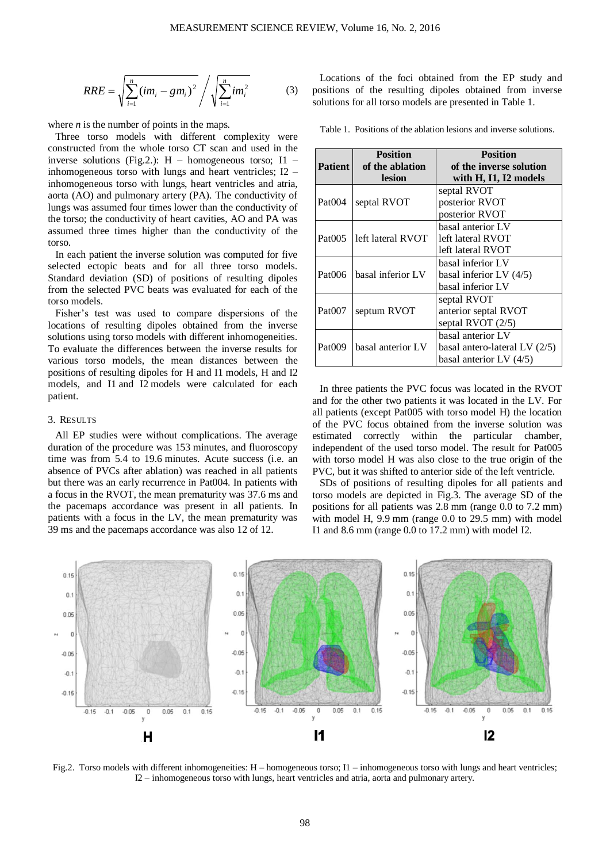$$
RRE = \sqrt{\sum_{i=1}^{n} (im_i - gm_i)^2} / \sqrt{\sum_{i=1}^{n} im_i^2}
$$
 (3)

where *n* is the number of points in the maps.

Three torso models with different complexity were constructed from the whole torso CT scan and used in the inverse solutions (Fig.2.): H – homogeneous torso; I1 – inhomogeneous torso with lungs and heart ventricles; I2 – inhomogeneous torso with lungs, heart ventricles and atria, aorta (AO) and pulmonary artery (PA). The conductivity of lungs was assumed four times lower than the conductivity of the torso; the conductivity of heart cavities, AO and PA was assumed three times higher than the conductivity of the torso.

In each patient the inverse solution was computed for five selected ectopic beats and for all three torso models. Standard deviation (SD) of positions of resulting dipoles from the selected PVC beats was evaluated for each of the torso models.

Fisher's test was used to compare dispersions of the locations of resulting dipoles obtained from the inverse solutions using torso models with different inhomogeneities. To evaluate the differences between the inverse results for various torso models, the mean distances between the positions of resulting dipoles for H and I1 models, H and I2 models, and I1 and I2 models were calculated for each patient.

### 3. RESULTS

All EP studies were without complications. The average duration of the procedure was 153 minutes, and fluoroscopy time was from 5.4 to 19.6 minutes. Acute success (i.e. an absence of PVCs after ablation) was reached in all patients but there was an early recurrence in Pat004. In patients with a focus in the RVOT, the mean prematurity was 37.6 ms and the pacemaps accordance was present in all patients. In patients with a focus in the LV, the mean prematurity was 39 ms and the pacemaps accordance was also 12 of 12.

Locations of the foci obtained from the EP study and positions of the resulting dipoles obtained from inverse solutions for all torso models are presented in Table 1.

Table 1. Positions of the ablation lesions and inverse solutions.

| <b>Patient</b>     | <b>Position</b><br>of the ablation<br>lesion | <b>Position</b><br>of the inverse solution<br>with H, I1, I2 models             |
|--------------------|----------------------------------------------|---------------------------------------------------------------------------------|
| Pat <sub>004</sub> | septal RVOT                                  | septal RVOT<br>posterior RVOT<br>posterior RVOT                                 |
| Pat <sub>005</sub> | left lateral RVOT                            | basal anterior LV<br>left lateral RVOT<br>left lateral RVOT                     |
| Pat006             | basal inferior LV                            | basal inferior LV<br>basal inferior LV $(4/5)$<br>basal inferior LV             |
| Pat <sub>007</sub> | septum RVOT                                  | septal RVOT<br>anterior septal RVOT<br>septal RVOT $(2/5)$                      |
| Pat009             | basal anterior LV                            | basal anterior LV<br>basal antero-lateral LV $(2/5)$<br>basal anterior LV (4/5) |

In three patients the PVC focus was located in the RVOT and for the other two patients it was located in the LV. For all patients (except Pat005 with torso model H) the location of the PVC focus obtained from the inverse solution was estimated correctly within the particular chamber, independent of the used torso model. The result for Pat005 with torso model H was also close to the true origin of the PVC, but it was shifted to anterior side of the left ventricle.

SDs of positions of resulting dipoles for all patients and torso models are depicted in Fig.3. The average SD of the positions for all patients was 2.8 mm (range 0.0 to 7.2 mm) with model H, 9.9 mm (range 0.0 to 29.5 mm) with model I1 and 8.6 mm (range 0.0 to 17.2 mm) with model I2.



Fig.2. Torso models with different inhomogeneities: H – homogeneous torso; I1 – inhomogeneous torso with lungs and heart ventricles; I2 – inhomogeneous torso with lungs, heart ventricles and atria, aorta and pulmonary artery.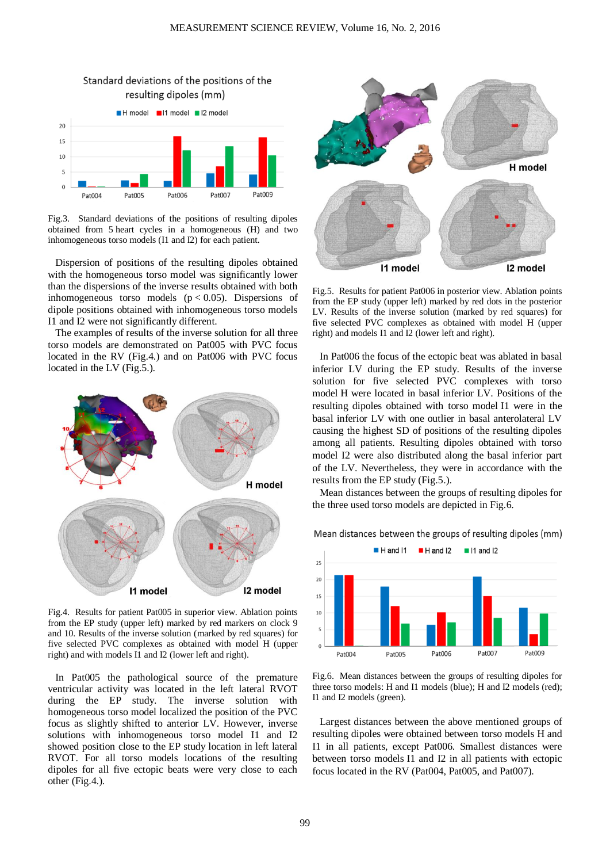

Fig.3. Standard deviations of the positions of resulting dipoles obtained from 5 heart cycles in a homogeneous (H) and two inhomogeneous torso models (I1 and I2) for each patient.

Dispersion of positions of the resulting dipoles obtained with the homogeneous torso model was significantly lower than the dispersions of the inverse results obtained with both inhomogeneous torso models  $(p < 0.05)$ . Dispersions of dipole positions obtained with inhomogeneous torso models I1 and I2 were not significantly different.

The examples of results of the inverse solution for all three torso models are demonstrated on Pat005 with PVC focus located in the RV (Fig.4.) and on Pat006 with PVC focus located in the LV (Fig.5.).



Fig.4. Results for patient Pat005 in superior view. Ablation points from the EP study (upper left) marked by red markers on clock 9 and 10. Results of the inverse solution (marked by red squares) for five selected PVC complexes as obtained with model H (upper right) and with models I1 and I2 (lower left and right).

In Pat005 the pathological source of the premature ventricular activity was located in the left lateral RVOT during the EP study. The inverse solution with homogeneous torso model localized the position of the PVC focus as slightly shifted to anterior LV. However, inverse solutions with inhomogeneous torso model I1 and I2 showed position close to the EP study location in left lateral RVOT. For all torso models locations of the resulting dipoles for all five ectopic beats were very close to each other (Fig.4.).



Fig.5. Results for patient Pat006 in posterior view. Ablation points from the EP study (upper left) marked by red dots in the posterior LV. Results of the inverse solution (marked by red squares) for five selected PVC complexes as obtained with model H (upper right) and models I1 and I2 (lower left and right).

In Pat006 the focus of the ectopic beat was ablated in basal inferior LV during the EP study. Results of the inverse solution for five selected PVC complexes with torso model H were located in basal inferior LV. Positions of the resulting dipoles obtained with torso model I1 were in the basal inferior LV with one outlier in basal anterolateral LV causing the highest SD of positions of the resulting dipoles among all patients. Resulting dipoles obtained with torso model I2 were also distributed along the basal inferior part of the LV. Nevertheless, they were in accordance with the results from the EP study (Fig.5.).

Mean distances between the groups of resulting dipoles for the three used torso models are depicted in Fig.6.

Mean distances between the groups of resulting dipoles (mm)



Fig.6. Mean distances between the groups of resulting dipoles for three torso models: H and I1 models (blue); H and I2 models (red); I1 and I2 models (green).

Largest distances between the above mentioned groups of resulting dipoles were obtained between torso models H and I1 in all patients, except Pat006. Smallest distances were between torso models I1 and I2 in all patients with ectopic focus located in the RV (Pat004, Pat005, and Pat007).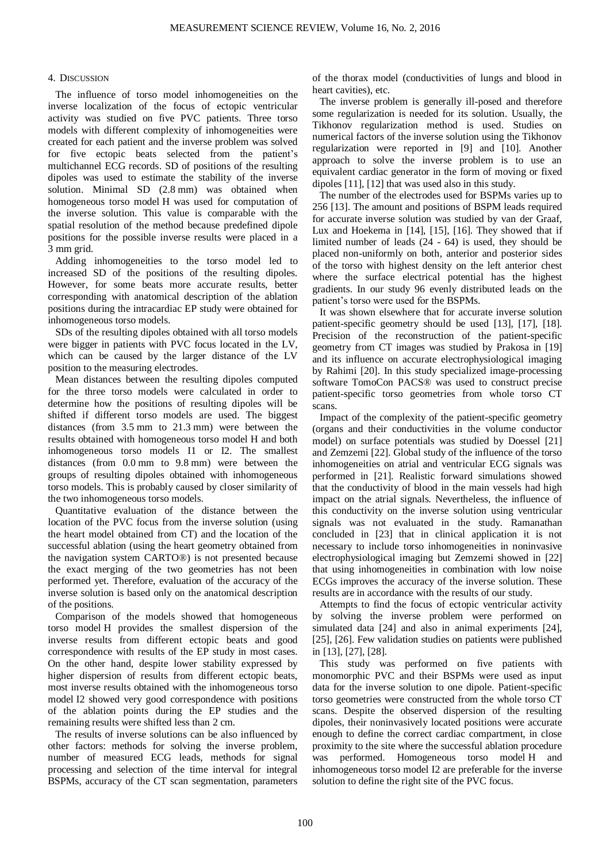# 4. DISCUSSION

The influence of torso model inhomogeneities on the inverse localization of the focus of ectopic ventricular activity was studied on five PVC patients. Three torso models with different complexity of inhomogeneities were created for each patient and the inverse problem was solved for five ectopic beats selected from the patient's multichannel ECG records. SD of positions of the resulting dipoles was used to estimate the stability of the inverse solution. Minimal SD (2.8 mm) was obtained when homogeneous torso model H was used for computation of the inverse solution. This value is comparable with the spatial resolution of the method because predefined dipole positions for the possible inverse results were placed in a 3 mm grid.

Adding inhomogeneities to the torso model led to increased SD of the positions of the resulting dipoles. However, for some beats more accurate results, better corresponding with anatomical description of the ablation positions during the intracardiac EP study were obtained for inhomogeneous torso models.

SDs of the resulting dipoles obtained with all torso models were bigger in patients with PVC focus located in the LV, which can be caused by the larger distance of the LV position to the measuring electrodes.

Mean distances between the resulting dipoles computed for the three torso models were calculated in order to determine how the positions of resulting dipoles will be shifted if different torso models are used. The biggest distances (from 3.5 mm to 21.3 mm) were between the results obtained with homogeneous torso model H and both inhomogeneous torso models I1 or I2. The smallest distances (from 0.0 mm to 9.8 mm) were between the groups of resulting dipoles obtained with inhomogeneous torso models. This is probably caused by closer similarity of the two inhomogeneous torso models.

Quantitative evaluation of the distance between the location of the PVC focus from the inverse solution (using the heart model obtained from CT) and the location of the successful ablation (using the heart geometry obtained from the navigation system CARTO®) is not presented because the exact merging of the two geometries has not been performed yet. Therefore, evaluation of the accuracy of the inverse solution is based only on the anatomical description of the positions.

Comparison of the models showed that homogeneous torso model H provides the smallest dispersion of the inverse results from different ectopic beats and good correspondence with results of the EP study in most cases. On the other hand, despite lower stability expressed by higher dispersion of results from different ectopic beats, most inverse results obtained with the inhomogeneous torso model I2 showed very good correspondence with positions of the ablation points during the EP studies and the remaining results were shifted less than 2 cm.

The results of inverse solutions can be also influenced by other factors: methods for solving the inverse problem, number of measured ECG leads, methods for signal processing and selection of the time interval for integral BSPMs, accuracy of the CT scan segmentation, parameters

of the thorax model (conductivities of lungs and blood in heart cavities), etc.

The inverse problem is generally ill-posed and therefore some regularization is needed for its solution. Usually, the Tikhonov regularization method is used. Studies on numerical factors of the inverse solution using the Tikhonov regularization were reported in [9] and [10]. Another approach to solve the inverse problem is to use an equivalent cardiac generator in the form of moving or fixed dipoles [11], [12] that was used also in this study.

The number of the electrodes used for BSPMs varies up to 256 [13]. The amount and positions of BSPM leads required for accurate inverse solution was studied by van der Graaf, Lux and Hoekema in [14], [15], [16]. They showed that if limited number of leads (24 - 64) is used, they should be placed non-uniformly on both, anterior and posterior sides of the torso with highest density on the left anterior chest where the surface electrical potential has the highest gradients. In our study 96 evenly distributed leads on the patient's torso were used for the BSPMs.

It was shown elsewhere that for accurate inverse solution patient-specific geometry should be used [13], [17], [18]. Precision of the reconstruction of the patient-specific geometry from CT images was studied by Prakosa in [19] and its influence on accurate electrophysiological imaging by Rahimi [20]. In this study specialized image-processing software TomoCon PACS® was used to construct precise patient-specific torso geometries from whole torso CT scans.

Impact of the complexity of the patient-specific geometry (organs and their conductivities in the volume conductor model) on surface potentials was studied by Doessel [21] and Zemzemi [22]. Global study of the influence of the torso inhomogeneities on atrial and ventricular ECG signals was performed in [21]. Realistic forward simulations showed that the conductivity of blood in the main vessels had high impact on the atrial signals. Nevertheless, the influence of this conductivity on the inverse solution using ventricular signals was not evaluated in the study. Ramanathan concluded in [23] that in clinical application it is not necessary to include torso inhomogeneities in noninvasive electrophysiological imaging but Zemzemi showed in [22] that using inhomogeneities in combination with low noise ECGs improves the accuracy of the inverse solution. These results are in accordance with the results of our study.

Attempts to find the focus of ectopic ventricular activity by solving the inverse problem were performed on simulated data [24] and also in animal experiments [24], [25], [26]. Few validation studies on patients were published in [13], [27], [28].

This study was performed on five patients with monomorphic PVC and their BSPMs were used as input data for the inverse solution to one dipole. Patient-specific torso geometries were constructed from the whole torso CT scans. Despite the observed dispersion of the resulting dipoles, their noninvasively located positions were accurate enough to define the correct cardiac compartment, in close proximity to the site where the successful ablation procedure was performed. Homogeneous torso model H and inhomogeneous torso model I2 are preferable for the inverse solution to define the right site of the PVC focus.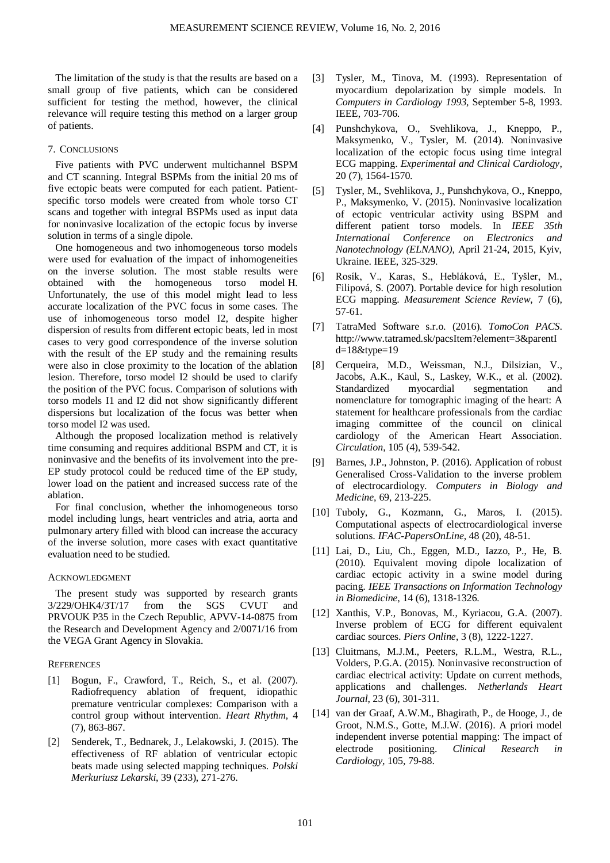The limitation of the study is that the results are based on a small group of five patients, which can be considered sufficient for testing the method, however, the clinical relevance will require testing this method on a larger group of patients.

## 7. CONCLUSIONS

Five patients with PVC underwent multichannel BSPM and CT scanning. Integral BSPMs from the initial 20 ms of five ectopic beats were computed for each patient. Patientspecific torso models were created from whole torso CT scans and together with integral BSPMs used as input data for noninvasive localization of the ectopic focus by inverse solution in terms of a single dipole.

One homogeneous and two inhomogeneous torso models were used for evaluation of the impact of inhomogeneities on the inverse solution. The most stable results were obtained with the homogeneous torso model H. Unfortunately, the use of this model might lead to less accurate localization of the PVC focus in some cases. The use of inhomogeneous torso model I2, despite higher dispersion of results from different ectopic beats, led in most cases to very good correspondence of the inverse solution with the result of the EP study and the remaining results were also in close proximity to the location of the ablation lesion. Therefore, torso model I2 should be used to clarify the position of the PVC focus. Comparison of solutions with torso models I1 and I2 did not show significantly different dispersions but localization of the focus was better when torso model I2 was used.

Although the proposed localization method is relatively time consuming and requires additional BSPM and CT, it is noninvasive and the benefits of its involvement into the pre-EP study protocol could be reduced time of the EP study, lower load on the patient and increased success rate of the ablation.

For final conclusion, whether the inhomogeneous torso model including lungs, heart ventricles and atria, aorta and pulmonary artery filled with blood can increase the accuracy of the inverse solution, more cases with exact quantitative evaluation need to be studied.

## ACKNOWLEDGMENT

The present study was supported by research grants 3/229/OHK4/3T/17 from the SGS CVUT and PRVOUK P35 in the Czech Republic, APVV-14-0875 from the Research and Development Agency and 2/0071/16 from the VEGA Grant Agency in Slovakia.

# **REFERENCES**

- [1] Bogun, F., Crawford, T., Reich, S., et al. (2007). Radiofrequency ablation of frequent, idiopathic premature ventricular complexes: Comparison with a control group without intervention. *Heart Rhythm,* 4 (7), 863-867.
- [2] Senderek, T., Bednarek, J., Lelakowski, J. (2015). The effectiveness of RF ablation of ventricular ectopic beats made using selected mapping techniques. *Polski Merkuriusz Lekarski*, 39 (233), 271-276.
- [3] Tysler, M., Tinova, M. (1993). Representation of myocardium depolarization by simple models. In *Computers in Cardiology 1993*, September 5-8, 1993. IEEE, 703-706.
- [4] Punshchykova, O., Svehlikova, J., Kneppo, P., Maksymenko, V., Tysler, M. (2014). Noninvasive localization of the ectopic focus using time integral ECG mapping. *Experimental and Clinical Cardiology*, 20 (7), 1564-1570.
- [5] Tysler, M., Svehlikova, J., Punshchykova, O., Kneppo, P., Maksymenko, V. (2015). Noninvasive localization of ectopic ventricular activity using BSPM and different patient torso models. In *IEEE 35th International Conference on Electronics and Nanotechnology (ELNANO)*, April 21-24, 2015, Kyiv, Ukraine. IEEE, 325-329.
- [6] Rosík, V., Karas, S., Hebláková, E., Tyšler, M., Filipová, S. (2007). Portable device for high resolution ECG mapping. *Measurement Science Review*, 7 (6), 57-61.
- [7] TatraMed Software s.r.o. (2016). *TomoCon PACS*. http://www.tatramed.sk/pacsItem?element=3&parentI d=18&type=19
- [8] Cerqueira, M.D., Weissman, N.J., Dilsizian, V., Jacobs, A.K., Kaul, S., Laskey, W.K., et al. (2002). Standardized myocardial segmentation and nomenclature for tomographic imaging of the heart: A statement for healthcare professionals from the cardiac imaging committee of the council on clinical cardiology of the American Heart Association. *Circulation*, 105 (4), 539-542.
- [9] Barnes, J.P., Johnston, P. (2016). Application of robust Generalised Cross-Validation to the inverse problem of electrocardiology. *Computers in Biology and Medicine*, 69, 213-225.
- [10] Tuboly, G., Kozmann, G., Maros, I. (2015). Computational aspects of electrocardiological inverse solutions. *IFAC-PapersOnLine*, 48 (20), 48-51.
- [11] Lai, D., Liu, Ch., Eggen, M.D., Iazzo, P., He, B. (2010). Equivalent moving dipole localization of cardiac ectopic activity in a swine model during pacing. *IEEE Transactions on Information Technology in Biomedicine*, 14 (6), 1318-1326.
- [12] Xanthis, V.P., Bonovas, M., Kyriacou, G.A. (2007). Inverse problem of ECG for different equivalent cardiac sources. *Piers Online*, 3 (8), 1222-1227.
- [13] Cluitmans, M.J.M., Peeters, R.L.M., Westra, R.L., Volders, P.G.A. (2015). Noninvasive reconstruction of cardiac electrical activity: Update on current methods, applications and challenges. *Netherlands Heart Journal*, 23 (6), 301-311.
- [14] van der Graaf, A.W.M., Bhagirath, P., de Hooge, J., de Groot, N.M.S., Gotte, M.J.W. (2016). A priori model independent inverse potential mapping: The impact of electrode positioning. *Clinical Research in Cardiology*, 105, 79-88.